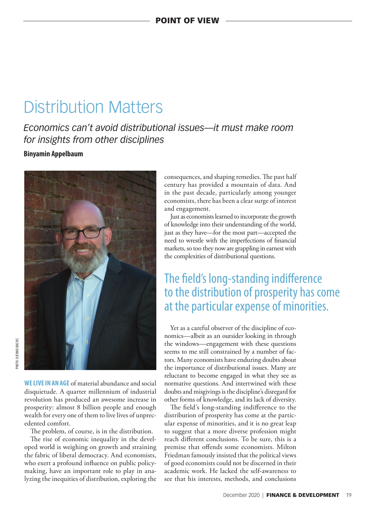# Distribution Matters

*Economics can't avoid distributional issues—it must make room for insights from other disciplines* 

### **Binyamin Appelbaum**



**WE LIVE IN AN AGE** of material abundance and social disquietude. A quarter millennium of industrial revolution has produced an awesome increase in prosperity: almost 8 billion people and enough wealth for every one of them to live lives of unprecedented comfort.

The problem, of course, is in the distribution.

The rise of economic inequality in the developed world is weighing on growth and straining the fabric of liberal democracy. And economists, who exert a profound influence on public policymaking, have an important role to play in analyzing the inequities of distribution, exploring the

consequences, and shaping remedies. The past half century has provided a mountain of data. And in the past decade, particularly among younger economists, there has been a clear surge of interest and engagement.

Just as economists learned to incorporate the growth of knowledge into their understanding of the world, just as they have—for the most part—accepted the need to wrestle with the imperfections of financial markets, so too they now are grappling in earnest with the complexities of distributional questions.

## The field's long-standing indifference to the distribution of prosperity has come at the particular expense of minorities.

Yet as a careful observer of the discipline of economics—albeit as an outsider looking in through the windows—engagement with these questions seems to me still constrained by a number of factors. Many economists have enduring doubts about the importance of distributional issues. Many are reluctant to become engaged in what they see as normative questions. And intertwined with these doubts and misgivings is the discipline's disregard for other forms of knowledge, and its lack of diversity.

The field's long-standing indifference to the distribution of prosperity has come at the particular expense of minorities, and it is no great leap to suggest that a more diverse profession might reach different conclusions. To be sure, this is a premise that offends some economists. Milton Friedman famously insisted that the political views of good economists could not be discerned in their academic work. He lacked the self-awareness to see that his interests, methods, and conclusions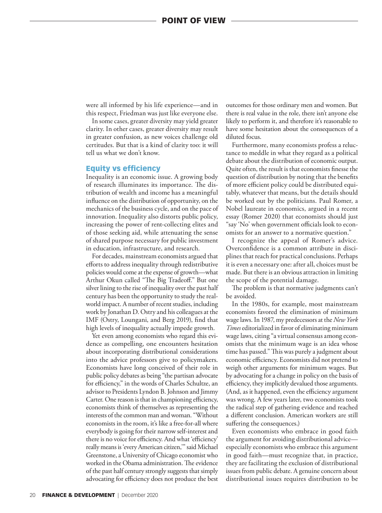were all informed by his life experience—and in this respect, Friedman was just like everyone else.

In some cases, greater diversity may yield greater clarity. In other cases, greater diversity may result in greater confusion, as new voices challenge old certitudes. But that is a kind of clarity too: it will tell us what we don't know.

#### Equity vs efficiency

Inequality is an economic issue. A growing body of research illuminates its importance. The distribution of wealth and income has a meaningful influence on the distribution of opportunity, on the mechanics of the business cycle, and on the pace of innovation. Inequality also distorts public policy, increasing the power of rent-collecting elites and of those seeking aid, while attenuating the sense of shared purpose necessary for public investment in education, infrastructure, and research.

For decades, mainstream economists argued that efforts to address inequality through redistributive policies would come at the expense of growth—what Arthur Okun called "The Big Tradeoff." But one silver lining to the rise of inequality over the past half century has been the opportunity to study the realworld impact. A number of recent studies, including work by Jonathan D. Ostry and his colleagues at the IMF (Ostry, Loungani, and Berg 2019), find that high levels of inequality actually impede growth.

Yet even among economists who regard this evidence as compelling, one encounters hesitation about incorporating distributional considerations into the advice professors give to policymakers. Economists have long conceived of their role in public policy debates as being "the partisan advocate for efficiency," in the words of Charles Schultze, an advisor to Presidents Lyndon B. Johnson and Jimmy Carter. One reason is that in championing efficiency, economists think of themselves as representing the interests of the common man and woman. "Without economists in the room, it's like a free-for-all where everybody is going for their narrow self-interest and there is no voice for efficiency. And what 'efficiency' really means is 'every American citizen,'" said Michael Greenstone, a University of Chicago economist who worked in the Obama administration. The evidence of the past half century strongly suggests that simply advocating for efficiency does not produce the best

outcomes for those ordinary men and women. But there is real value in the role, there isn't anyone else likely to perform it, and therefore it's reasonable to have some hesitation about the consequences of a diluted focus.

Furthermore, many economists profess a reluctance to meddle in what they regard as a political debate about the distribution of economic output. Quite often, the result is that economists finesse the question of distribution by noting that the benefits of more efficient policy could be distributed equitably, whatever that means, but the details should be worked out by the politicians. Paul Romer, a Nobel laureate in economics, argued in a recent essay (Romer 2020) that economists should just "say 'No' when government officials look to economists for an answer to a normative question."

I recognize the appeal of Romer's advice. Overconfidence is a common attribute in disciplines that reach for practical conclusions. Perhaps it is even a necessary one: after all, choices must be made. But there is an obvious attraction in limiting the scope of the potential damage.

The problem is that normative judgments can't be avoided.

In the 1980s, for example, most mainstream economists favored the elimination of minimum wage laws. In 1987, my predecessors at the *New York Times* editorialized in favor of eliminating minimum wage laws, citing "a virtual consensus among economists that the minimum wage is an idea whose time has passed." This was purely a judgment about economic efficiency. Economists did not pretend to weigh other arguments for minimum wages. But by advocating for a change in policy on the basis of efficiency, they implicitly devalued those arguments. (And, as it happened, even the efficiency argument was wrong. A few years later, two economists took the radical step of gathering evidence and reached a different conclusion. American workers are still suffering the consequences.)

Even economists who embrace in good faith the argument for avoiding distributional advice especially economists who embrace this argument in good faith—must recognize that, in practice, they are facilitating the exclusion of distributional issues from public debate. A genuine concern about distributional issues requires distribution to be